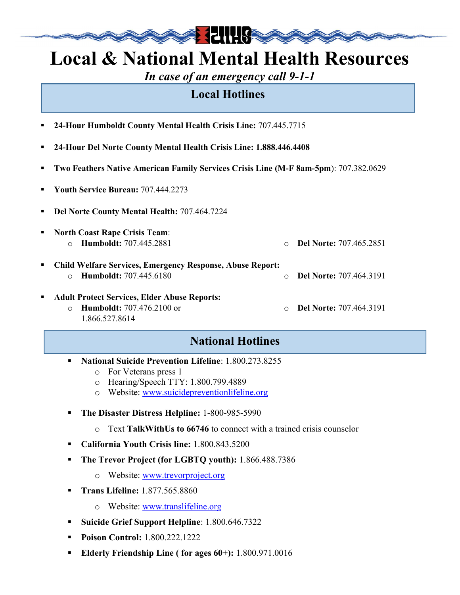**南方的 计可用的** 

In case of an emergency call 9-1-1

## Local Hotlines

- 24-Hour Humboldt County Mental Health Crisis Line: 707.445.7715
- 24-Hour Del Norte County Mental Health Crisis Line: 1.888.446.4408
- Two Feathers Native American Family Services Crisis Line (M-F 8am-5pm): 707.382.0629
- Youth Service Bureau: 707.444.2273
- Del Norte County Mental Health: 707.464.7224
- North Coast Rape Crisis Team: o Humboldt: 707.445.2881 o Del Norte: 707.465.2851 Child Welfare Services, Emergency Response, Abuse Report: o Humboldt: 707.445.6180 o Del Norte: 707.464.3191 Adult Protect Services, Elder Abuse Reports: o Humboldt: 707.476.2100 or 1.866.527.8614 Del Norte: 707.464.3191

## National Hotlines

- National Suicide Prevention Lifeline: 1.800.273.8255
	- o For Veterans press 1
	- o Hearing/Speech TTY: 1.800.799.4889
	- o Website: www.suicidepreventionlifeline.org
- **The Disaster Distress Helpline: 1-800-985-5990** 
	- $\circ$  Text TalkWithUs to 66746 to connect with a trained crisis counselor
- California Youth Crisis line: 1.800.843.5200
- **The Trevor Project (for LGBTQ youth):** 1.866.488.7386
	- o Website: www.trevorproject.org
- **Trans Lifeline:** 1.877.565.8860
	- o Website: www.translifeline.org
- Suicide Grief Support Helpline: 1.800.646.7322
- **Poison Control:** 1.800.222.1222
- Elderly Friendship Line ( for ages 60+): 1.800.971.0016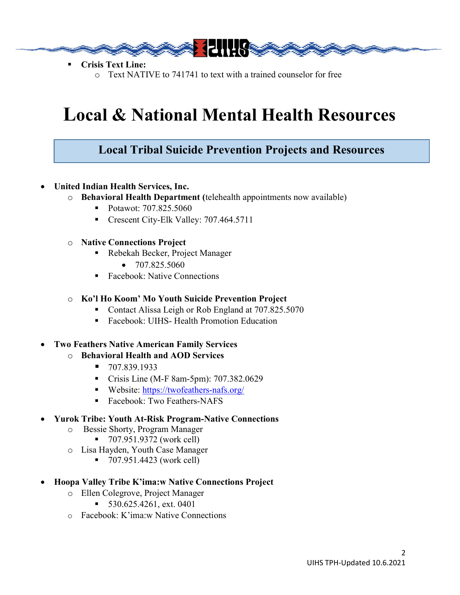

- Crisis Text Line:
	- o Text NATIVE to 741741 to text with a trained counselor for free

### Local Tribal Suicide Prevention Projects and Resources

- United Indian Health Services, Inc.
	- o Behavioral Health Department (telehealth appointments now available)
		- Potawot: 707,825,5060
		- Crescent City-Elk Valley: 707.464.5711
	- o Native Connections Project
		- Rebekah Becker, Project Manager
			- $\bullet$  707.825.5060
		- Facebook: Native Connections

#### o Ko'l Ho Koom' Mo Youth Suicide Prevention Project

- Contact Alissa Leigh or Rob England at 707.825.5070
- Facebook: UIHS- Health Promotion Education

### Two Feathers Native American Family Services

- o Behavioral Health and AOD Services
	- $-707.839.1933$
	- **Crisis Line (M-F 8am-5pm): 707.382.0629**
	- Website: https://twofeathers-nafs.org/
	- Facebook: Two Feathers-NAFS

### Yurok Tribe: Youth At-Risk Program-Native Connections

- o Bessie Shorty, Program Manager
	- 707.951.9372 (work cell)
- o Lisa Hayden, Youth Case Manager
	- 707.951.4423 (work cell)
- Hoopa Valley Tribe K'ima:w Native Connections Project
	- o Ellen Colegrove, Project Manager
		- $\blacksquare$  530.625.4261, ext. 0401
	- o Facebook: K'ima:w Native Connections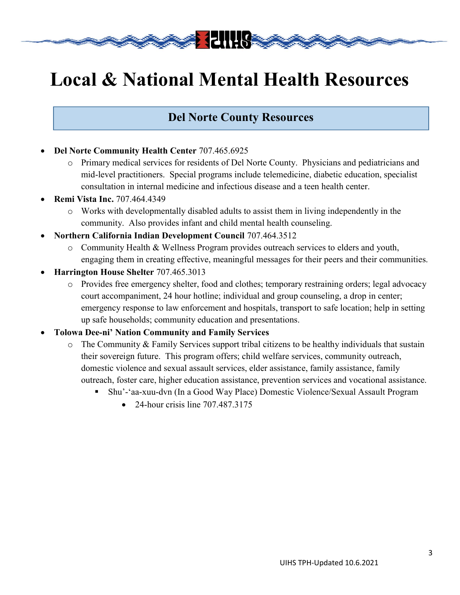**委会 相關的** 

## Del Norte County Resources

- Del Norte Community Health Center 707.465.6925
	- o Primary medical services for residents of Del Norte County. Physicians and pediatricians and mid-level practitioners. Special programs include telemedicine, diabetic education, specialist consultation in internal medicine and infectious disease and a teen health center.
- Remi Vista Inc. 707.464.4349
	- o Works with developmentally disabled adults to assist them in living independently in the community. Also provides infant and child mental health counseling.
- Northern California Indian Development Council 707.464.3512
	- o Community Health & Wellness Program provides outreach services to elders and youth, engaging them in creating effective, meaningful messages for their peers and their communities.
- Harrington House Shelter 707.465.3013
	- o Provides free emergency shelter, food and clothes; temporary restraining orders; legal advocacy court accompaniment, 24 hour hotline; individual and group counseling, a drop in center; emergency response to law enforcement and hospitals, transport to safe location; help in setting up safe households; community education and presentations.
- Tolowa Dee-ni' Nation Community and Family Services
	- o The Community & Family Services support tribal citizens to be healthy individuals that sustain their sovereign future. This program offers; child welfare services, community outreach, domestic violence and sexual assault services, elder assistance, family assistance, family outreach, foster care, higher education assistance, prevention services and vocational assistance.
		- Shu'-'aa-xuu-dvn (In a Good Way Place) Domestic Violence/Sexual Assault Program
			- $\bullet$  24-hour crisis line 707.487.3175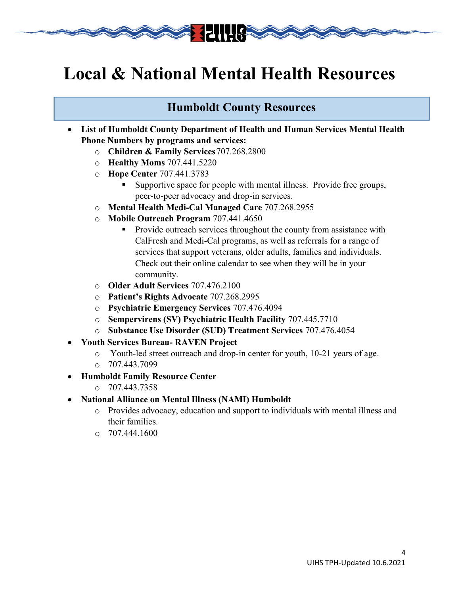**参考 相関係** 

## Humboldt County Resources

- List of Humboldt County Department of Health and Human Services Mental Health Phone Numbers by programs and services:
	- o Children & Family Services 707.268.2800
	- o Healthy Moms 707.441.5220
	- o Hope Center 707.441.3783
		- Supportive space for people with mental illness. Provide free groups, peer-to-peer advocacy and drop-in services.
	- o Mental Health Medi-Cal Managed Care 707.268.2955
	- o Mobile Outreach Program 707.441.4650
		- Provide outreach services throughout the county from assistance with CalFresh and Medi-Cal programs, as well as referrals for a range of services that support veterans, older adults, families and individuals. Check out their online calendar to see when they will be in your community.
	- o Older Adult Services 707.476.2100
	- o Patient's Rights Advocate 707.268.2995
	- o Psychiatric Emergency Services 707.476.4094
	- o Sempervirens (SV) Psychiatric Health Facility 707.445.7710
	- o Substance Use Disorder (SUD) Treatment Services 707.476.4054
- Youth Services Bureau- RAVEN Project
	- o Youth-led street outreach and drop-in center for youth, 10-21 years of age.
	- $O$  707.443.7099
- Humboldt Family Resource Center
	- o 707.443.7358
- National Alliance on Mental Illness (NAMI) Humboldt
	- o Provides advocacy, education and support to individuals with mental illness and their families.
	- $O$  707.444.1600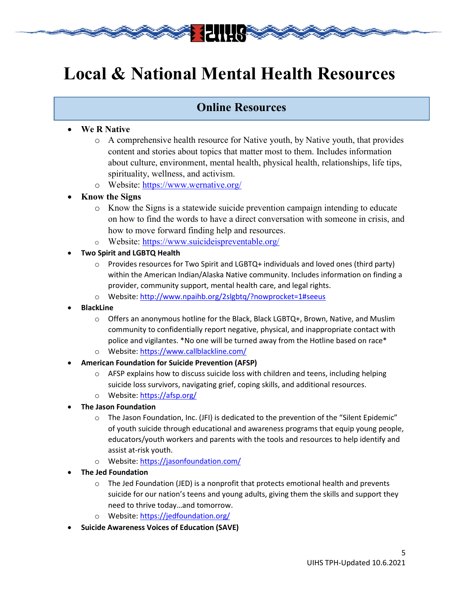**《大学》 日用 《文学** 

## Online Resources

### We R Native

- o A comprehensive health resource for Native youth, by Native youth, that provides content and stories about topics that matter most to them. Includes information about culture, environment, mental health, physical health, relationships, life tips, spirituality, wellness, and activism.
- o Website: https://www.wernative.org/
- Know the Signs
	- o Know the Signs is a statewide suicide prevention campaign intending to educate on how to find the words to have a direct conversation with someone in crisis, and how to move forward finding help and resources.
	- o Website: https://www.suicideispreventable.org/
- Two Spirit and LGBTQ Health
	- $\circ$  Provides resources for Two Spirit and LGBTQ+ individuals and loved ones (third party) within the American Indian/Alaska Native community. Includes information on finding a provider, community support, mental health care, and legal rights.
	- o Website: http://www.npaihb.org/2slgbtq/?nowprocket=1#seeus
- BlackLine
	- $\circ$  Offers an anonymous hotline for the Black, Black LGBTQ+, Brown, Native, and Muslim community to confidentially report negative, physical, and inappropriate contact with police and vigilantes. \*No one will be turned away from the Hotline based on race\*
	- o Website: https://www.callblackline.com/
- American Foundation for Suicide Prevention (AFSP)
	- $\circ$  AFSP explains how to discuss suicide loss with children and teens, including helping suicide loss survivors, navigating grief, coping skills, and additional resources.
	- o Website: https://afsp.org/
- The Jason Foundation
	- $\circ$  The Jason Foundation, Inc. (JFI) is dedicated to the prevention of the "Silent Epidemic" of youth suicide through educational and awareness programs that equip young people, educators/youth workers and parents with the tools and resources to help identify and assist at-risk youth.
	- o Website: https://jasonfoundation.com/
- The Jed Foundation
	- $\circ$  The Jed Foundation (JED) is a nonprofit that protects emotional health and prevents suicide for our nation's teens and young adults, giving them the skills and support they need to thrive today…and tomorrow.
	- o Website: https://jedfoundation.org/
- Suicide Awareness Voices of Education (SAVE)